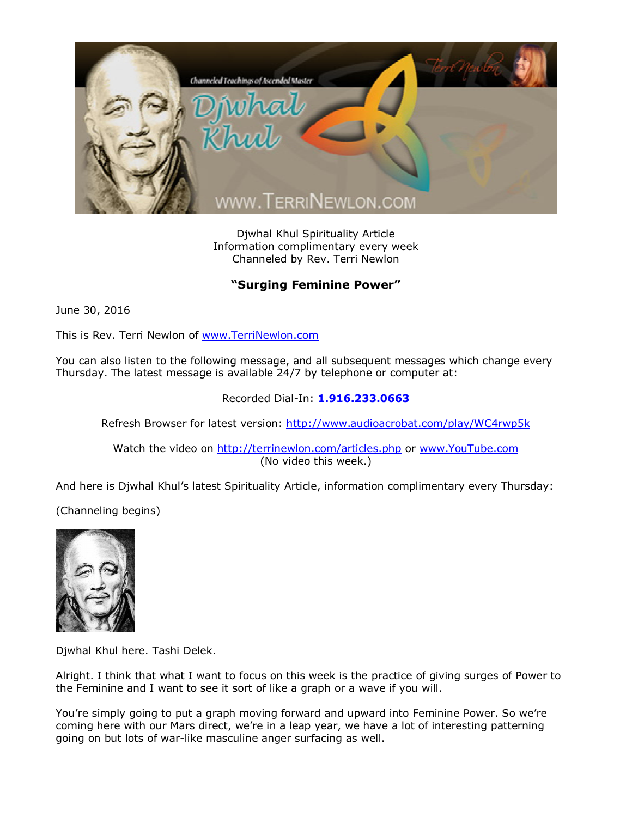

Djwhal Khul Spirituality Article Information complimentary every week Channeled by Rev. Terri Newlon

## **"Surging Feminine Power"**

June 30, 2016

This is Rev. Terri Newlon of [www.TerriNewlon.com](http://www.terrinewlon.com/)

You can also listen to the following message, and all subsequent messages which change every Thursday. The latest message is available 24/7 by telephone or computer at:

## Recorded Dial-In: **1.916.233.0663**

Refresh Browser for latest version: <http://www.audioacrobat.com/play/WC4rwp5k>

Watch the video on <http://terrinewlon.com/articles.php> or [www.YouTube.com](http://www.youtube.com/) (No video this week.)

And here is Djwhal Khul's latest Spirituality Article, information complimentary every Thursday:

(Channeling begins)



Djwhal Khul here. Tashi Delek.

Alright. I think that what I want to focus on this week is the practice of giving surges of Power to the Feminine and I want to see it sort of like a graph or a wave if you will.

You're simply going to put a graph moving forward and upward into Feminine Power. So we're coming here with our Mars direct, we're in a leap year, we have a lot of interesting patterning going on but lots of war-like masculine anger surfacing as well.